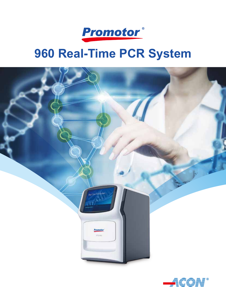

# **960 Real-Time PCR System**



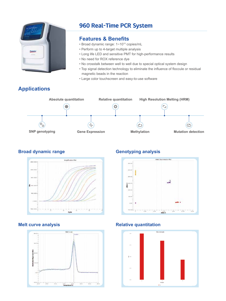

# 960 Real-Time PCR System

### **Features & Benefits**

- Broad dynamic range: 1~1010 copies/mL
- Perform up to 4-target multiple analysis
- Long life LED and sensitive PMT for high-performance results
- No need for ROX reference dye
- No crosstalk between well to well due to special optical system design
- Top signal detection technology to eliminate the influence of floccule or residual magnetic beads in the reaction
- Large color touchscreen and easy-to-use software

# **Applications**



### **Broad dynamic range analysis Genotyping analysis**







### **Melt curve analysis Relative quantitation**

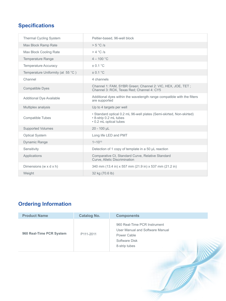# **Specifications**

| <b>Thermal Cycling System</b>     | Peltier-based, 96-well block                                                                                             |
|-----------------------------------|--------------------------------------------------------------------------------------------------------------------------|
| Max Block Ramp Rate               | > 5 °C/s                                                                                                                 |
| Max Block Cooling Rate            | $>$ 4 °C /s                                                                                                              |
| <b>Temperature Range</b>          | $4 - 100 °C$                                                                                                             |
| <b>Temperature Accuracy</b>       | ± 0.1 °C                                                                                                                 |
| Temperature Uniformity (at 55 °C) | ± 0.1 °C                                                                                                                 |
| Channel                           | 4 channels                                                                                                               |
| <b>Compatible Dyes</b>            | Channel 1: FAM, SYBR Green; Channel 2: VIC, HEX, JOE, TET;<br>Channel 3: ROX, Texas Red; Channel 4: CY5                  |
| <b>Additional Dye Available</b>   | Additional dyes within the wavelength range compatible with the filters<br>are supported                                 |
| Multiplex analysis                | Up to 4 targets per well                                                                                                 |
| <b>Compatible Tubes</b>           | • Standard optical 0.2 mL 96-well plates (Semi-skirted, Non-skirted)<br>• 8-strip 0.2 mL tubes<br>• 0.2 mL optical tubes |
| <b>Supported Volumes</b>          | 20 - 100 µL                                                                                                              |
| <b>Optical System</b>             | Long life LED and PMT                                                                                                    |
| <b>Dynamic Range</b>              | $1 - 10^{10}$                                                                                                            |
| Sensitivity                       | Detection of 1 copy of template in a 50 µL reaction                                                                      |
| Applications                      | Comparative Ct, Standard Curve, Relative Standard<br>Curve, Allelic Discrimination                                       |
| Dimensions (w $x$ d $x$ h)        | 340 mm (13.4 in) x 557 mm (21.9 in) x 537 mm (21.2 in)                                                                   |
| Weight                            | 32 kg (70.6 lb)                                                                                                          |

# **Ordering Information**

| <b>Product Name</b>      | <b>Catalog No.</b> | <b>Components</b>                                                                                                |
|--------------------------|--------------------|------------------------------------------------------------------------------------------------------------------|
| 960 Real-Time PCR System | P111-2011          | 960 Real-Time PCR Instrument<br>User Manual and Software Manual<br>Power Cable<br>Software Disk<br>8-strip tubes |
|                          |                    |                                                                                                                  |